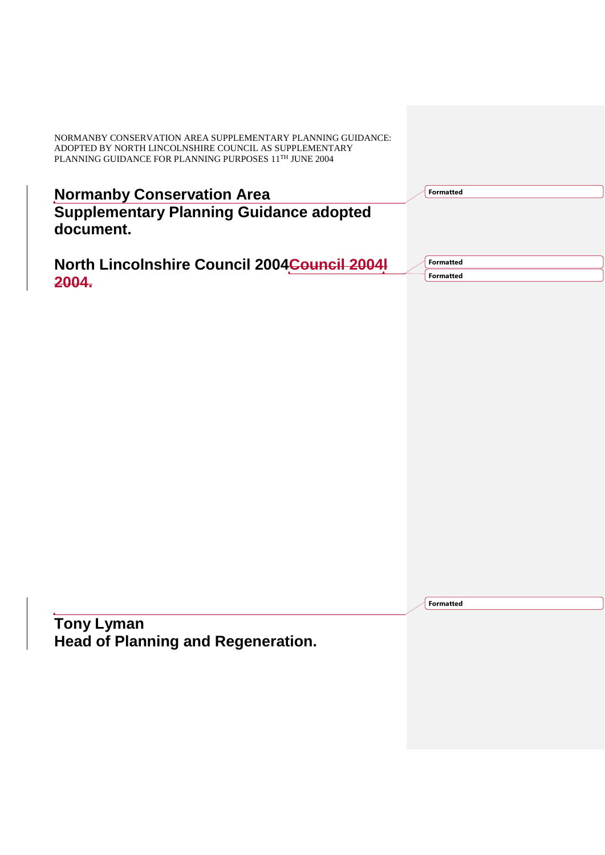| <b>Normanby Conservation Area</b>              |  |  |  |
|------------------------------------------------|--|--|--|
| <b>Supplementary Planning Guidance adopted</b> |  |  |  |
| document.                                      |  |  |  |

|       | North Lincolnshire Council 2004 <del>Council 2004l</del> |  |
|-------|----------------------------------------------------------|--|
| 2004. |                                                          |  |

**Formatted**

**Formatted Formatted**

**Formatted**

**Tony Lyman Head of Planning and Regeneration.**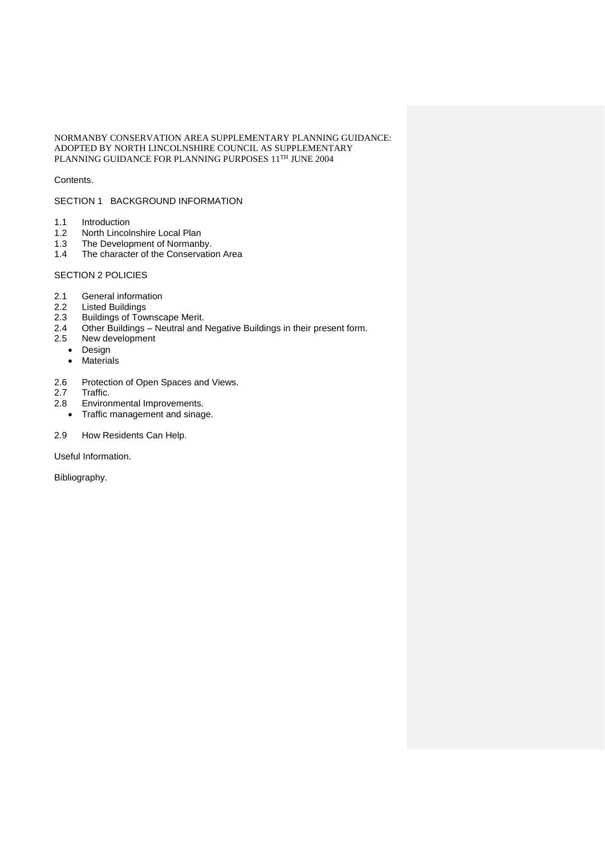## Contents.

## SECTION 1 BACKGROUND INFORMATION

- 1.1 Introduction<br>1.2 North Lincol
- 1.2 North Lincolnshire Local Plan<br>1.3 The Development of Normanb
- 1.3 The Development of Normanby.<br>1.4 The character of the Conservation
- The character of the Conservation Area

# SECTION 2 POLICIES

- 2.1 General information<br>2.2 Listed Buildings
- 2.2 Listed Buildings<br>2.3 Buildings of Tow
- 2.3 Buildings of Townscape Merit.<br>2.4 Other Buildings Neutral and
- 2.4 Other Buildings Neutral and Negative Buildings in their present form.<br>2.5 New development
- New development
- Design
- Materials
- 2.6 Protection of Open Spaces and Views.<br>2.7 Traffic.
- Traffic.
- 2.8 Environmental Improvements.
	- Traffic management and sinage.

## 2.9 How Residents Can Help.

Useful Information.

Bibliography.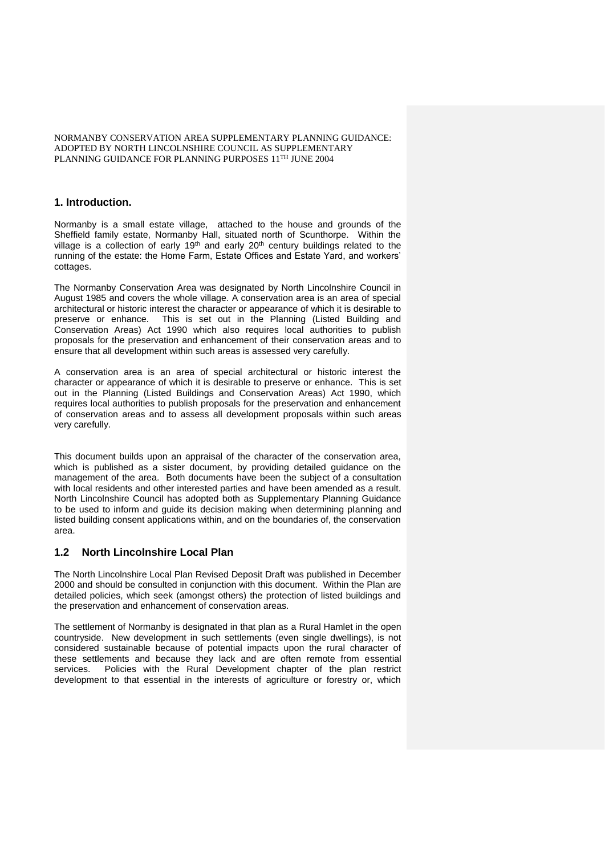## **1. Introduction.**

Normanby is a small estate village, attached to the house and grounds of the Sheffield family estate, Normanby Hall, situated north of Scunthorpe. Within the village is a collection of early  $19<sup>th</sup>$  and early  $20<sup>th</sup>$  century buildings related to the running of the estate: the Home Farm, Estate Offices and Estate Yard, and workers' cottages.

The Normanby Conservation Area was designated by North Lincolnshire Council in August 1985 and covers the whole village. A conservation area is an area of special architectural or historic interest the character or appearance of which it is desirable to preserve or enhance. This is set out in the Planning (Listed Building and Conservation Areas) Act 1990 which also requires local authorities to publish proposals for the preservation and enhancement of their conservation areas and to ensure that all development within such areas is assessed very carefully.

A conservation area is an area of special architectural or historic interest the character or appearance of which it is desirable to preserve or enhance. This is set out in the Planning (Listed Buildings and Conservation Areas) Act 1990, which requires local authorities to publish proposals for the preservation and enhancement of conservation areas and to assess all development proposals within such areas very carefully.

This document builds upon an appraisal of the character of the conservation area, which is published as a sister document, by providing detailed guidance on the management of the area. Both documents have been the subject of a consultation with local residents and other interested parties and have been amended as a result. North Lincolnshire Council has adopted both as Supplementary Planning Guidance to be used to inform and guide its decision making when determining planning and listed building consent applications within, and on the boundaries of, the conservation area.

# **1.2 North Lincolnshire Local Plan**

The North Lincolnshire Local Plan Revised Deposit Draft was published in December 2000 and should be consulted in conjunction with this document. Within the Plan are detailed policies, which seek (amongst others) the protection of listed buildings and the preservation and enhancement of conservation areas.

The settlement of Normanby is designated in that plan as a Rural Hamlet in the open countryside. New development in such settlements (even single dwellings), is not considered sustainable because of potential impacts upon the rural character of these settlements and because they lack and are often remote from essential services. Policies with the Rural Development chapter of the plan restrict development to that essential in the interests of agriculture or forestry or, which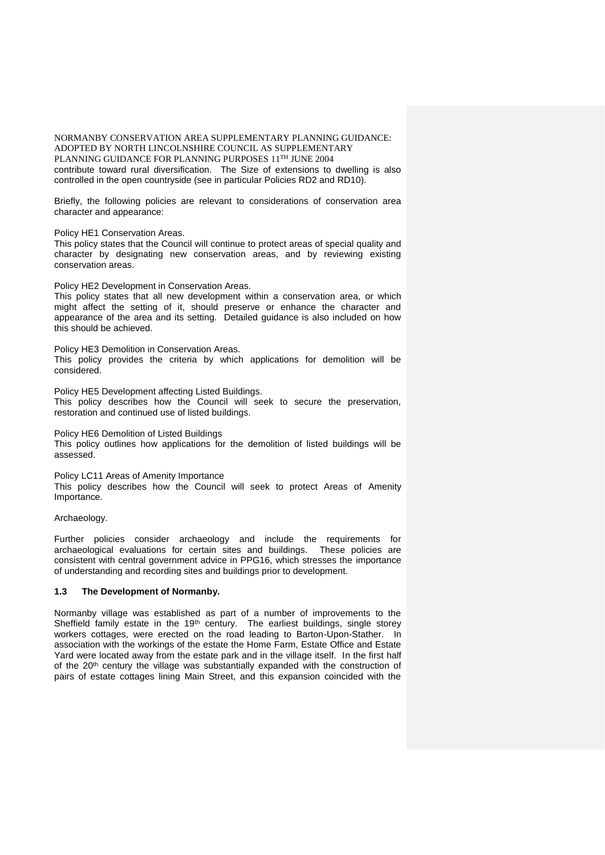NORMANBY CONSERVATION AREA SUPPLEMENTARY PLANNING GUIDANCE: ADOPTED BY NORTH LINCOLNSHIRE COUNCIL AS SUPPLEMENTARY PLANNING GUIDANCE FOR PLANNING PURPOSES 11TH JUNE 2004 contribute toward rural diversification. The Size of extensions to dwelling is also controlled in the open countryside (see in particular Policies RD2 and RD10).

Briefly, the following policies are relevant to considerations of conservation area character and appearance:

Policy HE1 Conservation Areas.

This policy states that the Council will continue to protect areas of special quality and character by designating new conservation areas, and by reviewing existing conservation areas.

Policy HE2 Development in Conservation Areas.

This policy states that all new development within a conservation area, or which might affect the setting of it, should preserve or enhance the character and appearance of the area and its setting. Detailed guidance is also included on how this should be achieved.

Policy HE3 Demolition in Conservation Areas. This policy provides the criteria by which applications for demolition will be considered.

Policy HE5 Development affecting Listed Buildings. This policy describes how the Council will seek to secure the preservation, restoration and continued use of listed buildings.

Policy HE6 Demolition of Listed Buildings This policy outlines how applications for the demolition of listed buildings will be assessed.

Policy LC11 Areas of Amenity Importance This policy describes how the Council will seek to protect Areas of Amenity Importance.

Archaeology.

Further policies consider archaeology and include the requirements for archaeological evaluations for certain sites and buildings. These policies are consistent with central government advice in PPG16, which stresses the importance of understanding and recording sites and buildings prior to development.

## **1.3 The Development of Normanby.**

Normanby village was established as part of a number of improvements to the Sheffield family estate in the 19<sup>th</sup> century. The earliest buildings, single storey workers cottages, were erected on the road leading to Barton-Upon-Stather. In association with the workings of the estate the Home Farm, Estate Office and Estate Yard were located away from the estate park and in the village itself. In the first half of the 20<sup>th</sup> century the village was substantially expanded with the construction of pairs of estate cottages lining Main Street, and this expansion coincided with the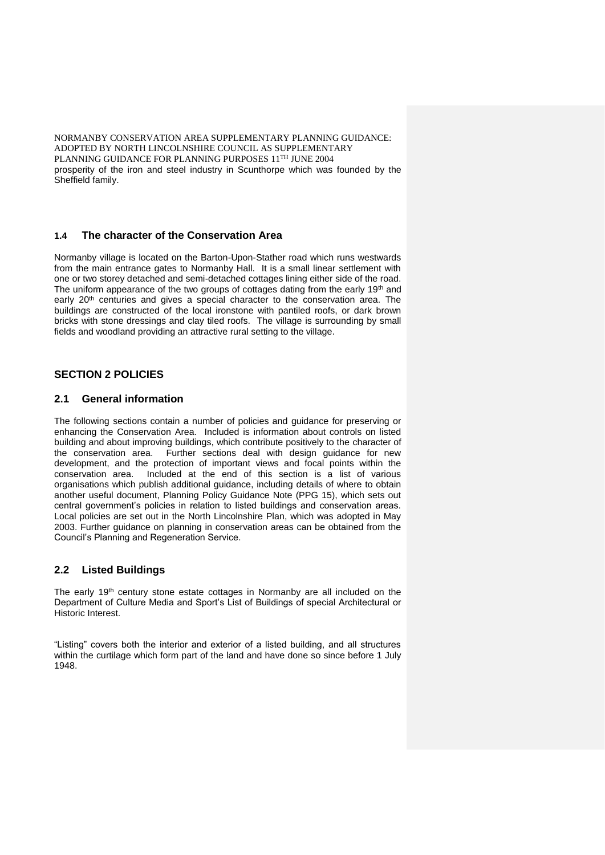NORMANBY CONSERVATION AREA SUPPLEMENTARY PLANNING GUIDANCE: ADOPTED BY NORTH LINCOLNSHIRE COUNCIL AS SUPPLEMENTARY PLANNING GUIDANCE FOR PLANNING PURPOSES 11TH JUNE 2004 prosperity of the iron and steel industry in Scunthorpe which was founded by the Sheffield family.

# **1.4 The character of the Conservation Area**

Normanby village is located on the Barton-Upon-Stather road which runs westwards from the main entrance gates to Normanby Hall. It is a small linear settlement with one or two storey detached and semi-detached cottages lining either side of the road. The uniform appearance of the two groups of cottages dating from the early 19<sup>th</sup> and early  $20<sup>th</sup>$  centuries and gives a special character to the conservation area. The buildings are constructed of the local ironstone with pantiled roofs, or dark brown bricks with stone dressings and clay tiled roofs. The village is surrounding by small fields and woodland providing an attractive rural setting to the village.

# **SECTION 2 POLICIES**

## **2.1 General information**

The following sections contain a number of policies and guidance for preserving or enhancing the Conservation Area. Included is information about controls on listed building and about improving buildings, which contribute positively to the character of the conservation area. Further sections deal with design guidance for new development, and the protection of important views and focal points within the conservation area. Included at the end of this section is a list of various organisations which publish additional guidance, including details of where to obtain another useful document, Planning Policy Guidance Note (PPG 15), which sets out central government's policies in relation to listed buildings and conservation areas. Local policies are set out in the North Lincolnshire Plan, which was adopted in May 2003. Further guidance on planning in conservation areas can be obtained from the Council's Planning and Regeneration Service.

# **2.2 Listed Buildings**

The early  $19<sup>th</sup>$  century stone estate cottages in Normanby are all included on the Department of Culture Media and Sport's List of Buildings of special Architectural or Historic Interest.

"Listing" covers both the interior and exterior of a listed building, and all structures within the curtilage which form part of the land and have done so since before 1 July 1948.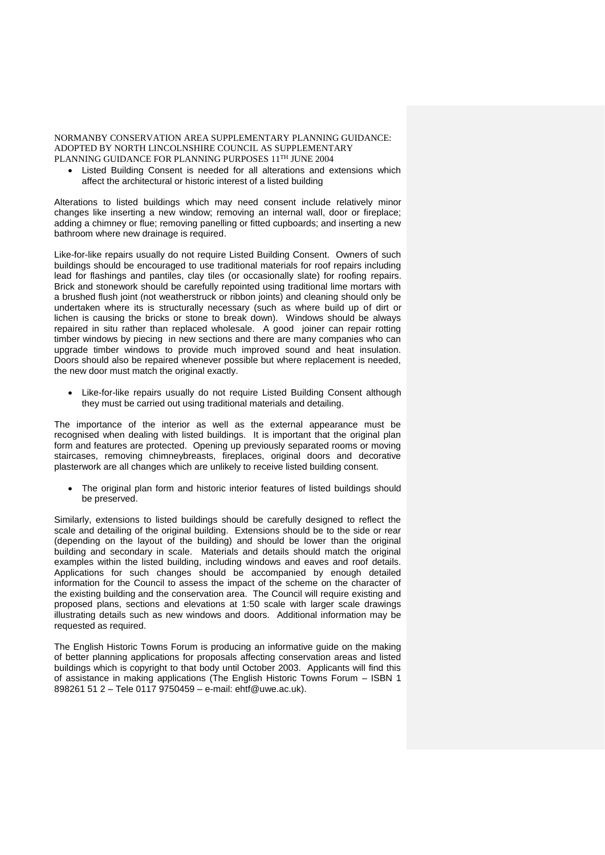Listed Building Consent is needed for all alterations and extensions which affect the architectural or historic interest of a listed building

Alterations to listed buildings which may need consent include relatively minor changes like inserting a new window; removing an internal wall, door or fireplace; adding a chimney or flue; removing panelling or fitted cupboards; and inserting a new bathroom where new drainage is required.

Like-for-like repairs usually do not require Listed Building Consent. Owners of such buildings should be encouraged to use traditional materials for roof repairs including lead for flashings and pantiles, clay tiles (or occasionally slate) for roofing repairs. Brick and stonework should be carefully repointed using traditional lime mortars with a brushed flush joint (not weatherstruck or ribbon joints) and cleaning should only be undertaken where its is structurally necessary (such as where build up of dirt or lichen is causing the bricks or stone to break down). Windows should be always repaired in situ rather than replaced wholesale. A good joiner can repair rotting timber windows by piecing in new sections and there are many companies who can upgrade timber windows to provide much improved sound and heat insulation. Doors should also be repaired whenever possible but where replacement is needed, the new door must match the original exactly.

 Like-for-like repairs usually do not require Listed Building Consent although they must be carried out using traditional materials and detailing.

The importance of the interior as well as the external appearance must be recognised when dealing with listed buildings. It is important that the original plan form and features are protected. Opening up previously separated rooms or moving staircases, removing chimneybreasts, fireplaces, original doors and decorative plasterwork are all changes which are unlikely to receive listed building consent.

 The original plan form and historic interior features of listed buildings should be preserved.

Similarly, extensions to listed buildings should be carefully designed to reflect the scale and detailing of the original building. Extensions should be to the side or rear (depending on the layout of the building) and should be lower than the original building and secondary in scale. Materials and details should match the original examples within the listed building, including windows and eaves and roof details. Applications for such changes should be accompanied by enough detailed information for the Council to assess the impact of the scheme on the character of the existing building and the conservation area. The Council will require existing and proposed plans, sections and elevations at 1:50 scale with larger scale drawings illustrating details such as new windows and doors. Additional information may be requested as required.

The English Historic Towns Forum is producing an informative guide on the making of better planning applications for proposals affecting conservation areas and listed buildings which is copyright to that body until October 2003. Applicants will find this of assistance in making applications (The English Historic Towns Forum – ISBN 1 898261 51 2 – Tele 0117 9750459 – e-mail: ehtf@uwe.ac.uk).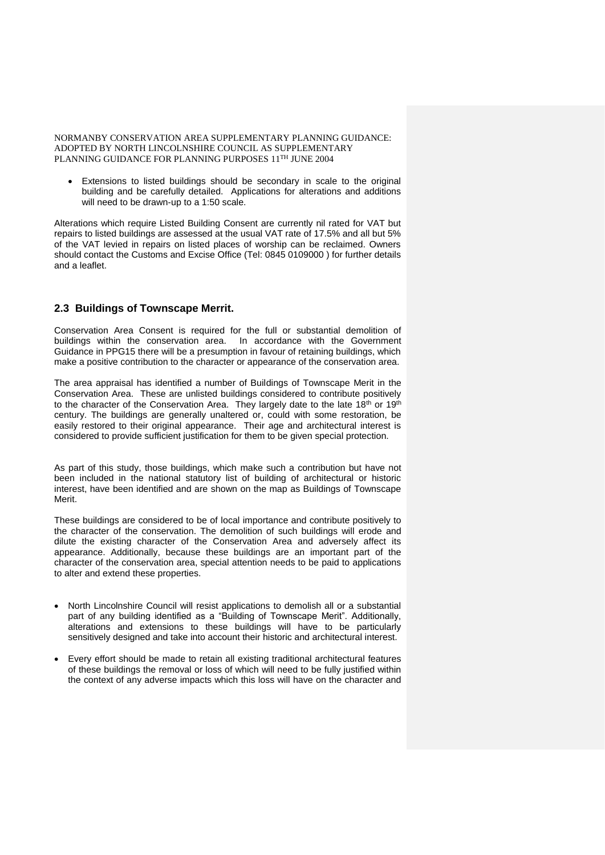Extensions to listed buildings should be secondary in scale to the original building and be carefully detailed. Applications for alterations and additions will need to be drawn-up to a 1:50 scale.

Alterations which require Listed Building Consent are currently nil rated for VAT but repairs to listed buildings are assessed at the usual VAT rate of 17.5% and all but 5% of the VAT levied in repairs on listed places of worship can be reclaimed. Owners should contact the Customs and Excise Office (Tel: 0845 0109000 ) for further details and a leaflet.

# **2.3 Buildings of Townscape Merrit.**

Conservation Area Consent is required for the full or substantial demolition of buildings within the conservation area. In accordance with the Government Guidance in PPG15 there will be a presumption in favour of retaining buildings, which make a positive contribution to the character or appearance of the conservation area.

The area appraisal has identified a number of Buildings of Townscape Merit in the Conservation Area. These are unlisted buildings considered to contribute positively to the character of the Conservation Area. They largely date to the late 18<sup>th</sup> or 19<sup>th</sup> century. The buildings are generally unaltered or, could with some restoration, be easily restored to their original appearance. Their age and architectural interest is considered to provide sufficient justification for them to be given special protection.

As part of this study, those buildings, which make such a contribution but have not been included in the national statutory list of building of architectural or historic interest, have been identified and are shown on the map as Buildings of Townscape Merit.

These buildings are considered to be of local importance and contribute positively to the character of the conservation. The demolition of such buildings will erode and dilute the existing character of the Conservation Area and adversely affect its appearance. Additionally, because these buildings are an important part of the character of the conservation area, special attention needs to be paid to applications to alter and extend these properties.

- North Lincolnshire Council will resist applications to demolish all or a substantial part of any building identified as a "Building of Townscape Merit". Additionally, alterations and extensions to these buildings will have to be particularly sensitively designed and take into account their historic and architectural interest.
- Every effort should be made to retain all existing traditional architectural features of these buildings the removal or loss of which will need to be fully justified within the context of any adverse impacts which this loss will have on the character and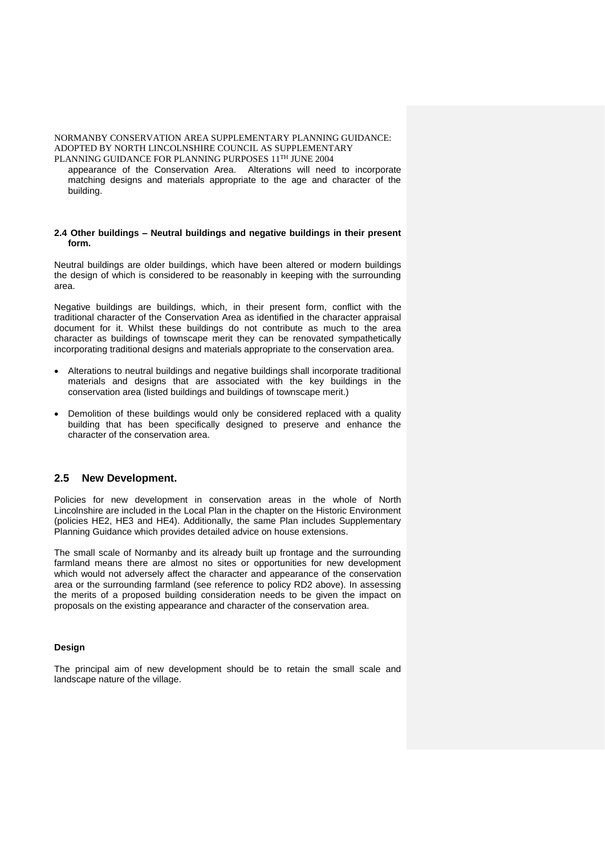appearance of the Conservation Area. Alterations will need to incorporate matching designs and materials appropriate to the age and character of the building.

### **2.4 Other buildings – Neutral buildings and negative buildings in their present form.**

Neutral buildings are older buildings, which have been altered or modern buildings the design of which is considered to be reasonably in keeping with the surrounding area.

Negative buildings are buildings, which, in their present form, conflict with the traditional character of the Conservation Area as identified in the character appraisal document for it. Whilst these buildings do not contribute as much to the area character as buildings of townscape merit they can be renovated sympathetically incorporating traditional designs and materials appropriate to the conservation area.

- Alterations to neutral buildings and negative buildings shall incorporate traditional materials and designs that are associated with the key buildings in the conservation area (listed buildings and buildings of townscape merit.)
- Demolition of these buildings would only be considered replaced with a quality building that has been specifically designed to preserve and enhance the character of the conservation area.

# **2.5 New Development.**

Policies for new development in conservation areas in the whole of North Lincolnshire are included in the Local Plan in the chapter on the Historic Environment (policies HE2, HE3 and HE4). Additionally, the same Plan includes Supplementary Planning Guidance which provides detailed advice on house extensions.

The small scale of Normanby and its already built up frontage and the surrounding farmland means there are almost no sites or opportunities for new development which would not adversely affect the character and appearance of the conservation area or the surrounding farmland (see reference to policy RD2 above). In assessing the merits of a proposed building consideration needs to be given the impact on proposals on the existing appearance and character of the conservation area.

## **Design**

The principal aim of new development should be to retain the small scale and landscape nature of the village.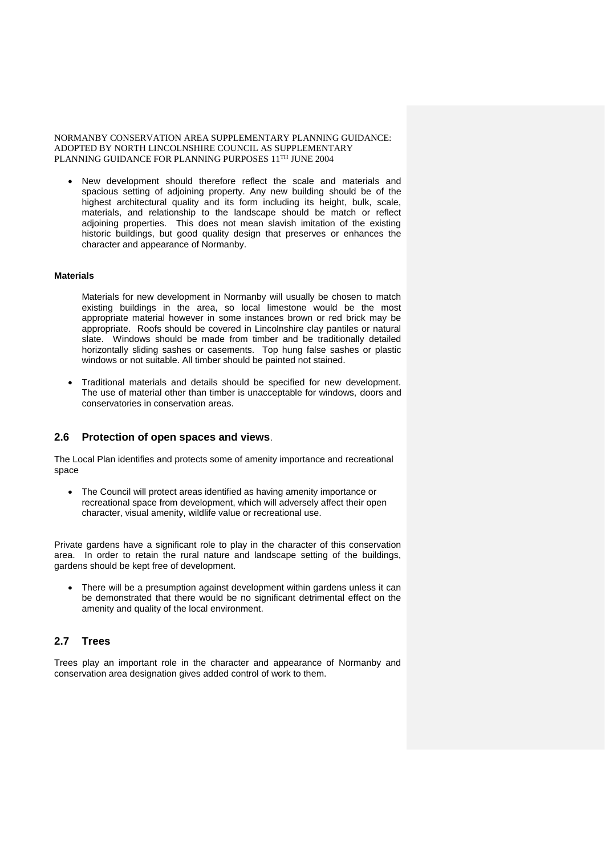New development should therefore reflect the scale and materials and spacious setting of adjoining property. Any new building should be of the highest architectural quality and its form including its height, bulk, scale, materials, and relationship to the landscape should be match or reflect adjoining properties. This does not mean slavish imitation of the existing historic buildings, but good quality design that preserves or enhances the character and appearance of Normanby.

#### **Materials**

Materials for new development in Normanby will usually be chosen to match existing buildings in the area, so local limestone would be the most appropriate material however in some instances brown or red brick may be appropriate. Roofs should be covered in Lincolnshire clay pantiles or natural slate. Windows should be made from timber and be traditionally detailed horizontally sliding sashes or casements. Top hung false sashes or plastic windows or not suitable. All timber should be painted not stained.

 Traditional materials and details should be specified for new development. The use of material other than timber is unacceptable for windows, doors and conservatories in conservation areas.

## **2.6 Protection of open spaces and views**.

The Local Plan identifies and protects some of amenity importance and recreational space

 The Council will protect areas identified as having amenity importance or recreational space from development, which will adversely affect their open character, visual amenity, wildlife value or recreational use.

Private gardens have a significant role to play in the character of this conservation area. In order to retain the rural nature and landscape setting of the buildings, gardens should be kept free of development.

 There will be a presumption against development within gardens unless it can be demonstrated that there would be no significant detrimental effect on the amenity and quality of the local environment.

## **2.7 Trees**

Trees play an important role in the character and appearance of Normanby and conservation area designation gives added control of work to them.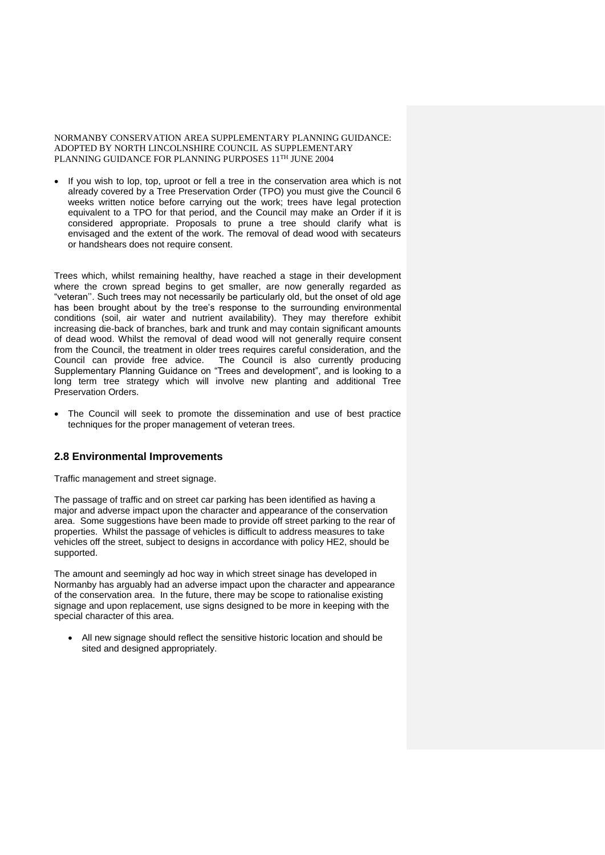If you wish to lop, top, uproot or fell a tree in the conservation area which is not already covered by a Tree Preservation Order (TPO) you must give the Council 6 weeks written notice before carrying out the work; trees have legal protection equivalent to a TPO for that period, and the Council may make an Order if it is considered appropriate. Proposals to prune a tree should clarify what is envisaged and the extent of the work. The removal of dead wood with secateurs or handshears does not require consent.

Trees which, whilst remaining healthy, have reached a stage in their development where the crown spread begins to get smaller, are now generally regarded as "veteran''. Such trees may not necessarily be particularly old, but the onset of old age has been brought about by the tree's response to the surrounding environmental conditions (soil, air water and nutrient availability). They may therefore exhibit increasing die-back of branches, bark and trunk and may contain significant amounts of dead wood. Whilst the removal of dead wood will not generally require consent from the Council, the treatment in older trees requires careful consideration, and the Council can provide free advice. The Council is also currently producing Supplementary Planning Guidance on "Trees and development", and is looking to a long term tree strategy which will involve new planting and additional Tree Preservation Orders.

 The Council will seek to promote the dissemination and use of best practice techniques for the proper management of veteran trees.

# **2.8 Environmental Improvements**

Traffic management and street signage.

The passage of traffic and on street car parking has been identified as having a major and adverse impact upon the character and appearance of the conservation area. Some suggestions have been made to provide off street parking to the rear of properties. Whilst the passage of vehicles is difficult to address measures to take vehicles off the street, subject to designs in accordance with policy HE2, should be supported.

The amount and seemingly ad hoc way in which street sinage has developed in Normanby has arguably had an adverse impact upon the character and appearance of the conservation area. In the future, there may be scope to rationalise existing signage and upon replacement, use signs designed to be more in keeping with the special character of this area.

 All new signage should reflect the sensitive historic location and should be sited and designed appropriately.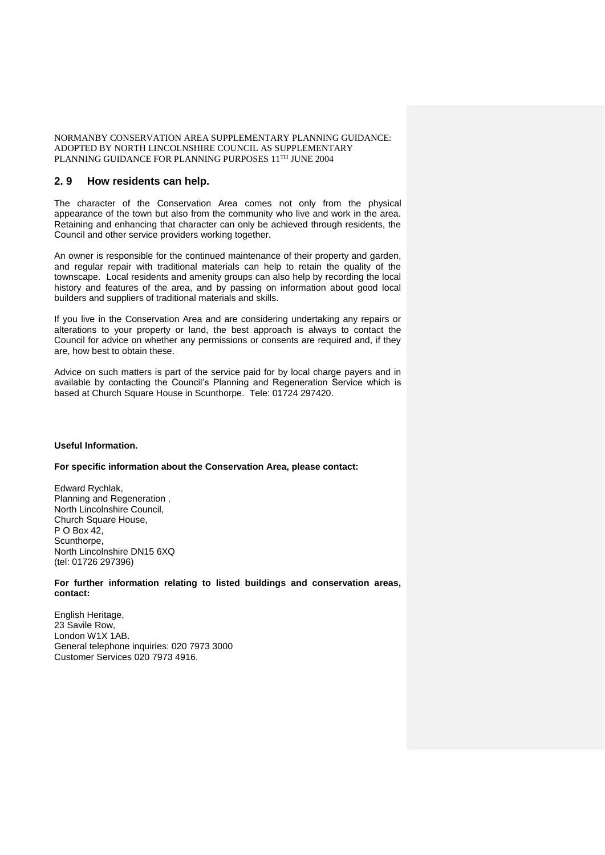# **2. 9 How residents can help.**

The character of the Conservation Area comes not only from the physical appearance of the town but also from the community who live and work in the area. Retaining and enhancing that character can only be achieved through residents, the Council and other service providers working together.

An owner is responsible for the continued maintenance of their property and garden, and regular repair with traditional materials can help to retain the quality of the townscape. Local residents and amenity groups can also help by recording the local history and features of the area, and by passing on information about good local builders and suppliers of traditional materials and skills.

If you live in the Conservation Area and are considering undertaking any repairs or alterations to your property or land, the best approach is always to contact the Council for advice on whether any permissions or consents are required and, if they are, how best to obtain these.

Advice on such matters is part of the service paid for by local charge payers and in available by contacting the Council's Planning and Regeneration Service which is based at Church Square House in Scunthorpe. Tele: 01724 297420.

## **Useful Information.**

#### **For specific information about the Conservation Area, please contact:**

Edward Rychlak, Planning and Regeneration , North Lincolnshire Council, Church Square House, P O Box 42. Scunthorpe, North Lincolnshire DN15 6XQ (tel: 01726 297396)

### **For further information relating to listed buildings and conservation areas, contact:**

English Heritage, 23 Savile Row, London W1X 1AB. General telephone inquiries: 020 7973 3000 Customer Services 020 7973 4916.